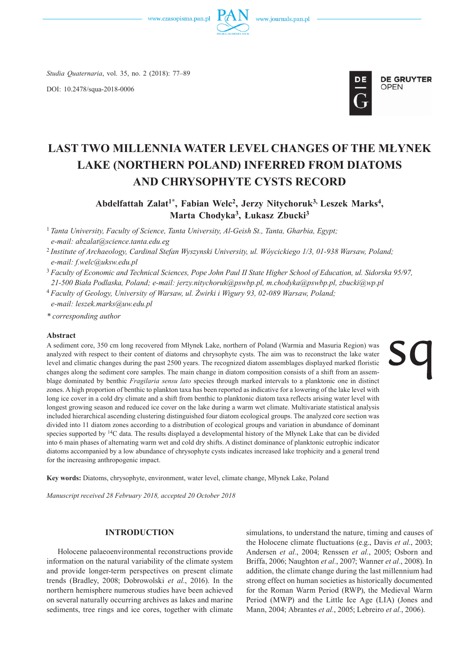



*Studia Quaternaria*, vol. 35, no. 2 (2018): 77–89

DOI: 10.2478/squa-2018-0006



# **LAST TWO MILLENNIA WATER LEVEL CHANGES OF THE MŁYNEK LAKE (NORTHERN POLAND) INFERRED FROM DIATOMS AND CHRYSOPHYTE CYSTS RECORD**

Abdelfattah Zalat<sup>1\*</sup>, Fabian Welc<sup>2</sup>, Jerzy Nitychoruk<sup>3,</sup> Leszek Marks<sup>4</sup>, **Marta Chodyka3, Łukasz Zbucki3**

<sup>1</sup>*Tanta University, Faculty of Science, Tanta University, Al-Geish St., Tanta, Gharbia, Egypt; e-mail: abzalat@science.tanta.edu.eg*

<sup>2</sup>*Institute of Archaeology, Cardinal Stefan Wyszynski University, ul. Wóycickiego 1/3, 01-938 Warsaw, Poland; e-mail: f.welc@uksw.edu.pl*

<sup>3</sup>*Faculty of Economic and Technical Sciences, Pope John Paul II State Higher School of Education, ul. Sidorska 95/97, 21-500 Biała Podlaska, Poland; e-mail: jerzy.nitychoruk@pswbp.pl, m.chodyka@pswbp.pl, zbucki@wp.pl*

<sup>4</sup>*Faculty of Geology, University of Warsaw, ul. Żwirki i Wigury 93, 02-089 Warsaw, Poland; e-mail: leszek.marks@uw.edu.pl*

*\* corresponding author*

#### **Abstract**

A sediment core, 350 cm long recovered from Młynek Lake, northern of Poland (Warmia and Masuria Region) was analyzed with respect to their content of diatoms and chrysophyte cysts. The aim was to reconstruct the lake water level and climatic changes during the past 2500 years. The recognized diatom assemblages displayed marked floristic changes along the sediment core samples. The main change in diatom composition consists of a shift from an assemblage dominated by benthic *Fragilaria sensu lato* species through marked intervals to a planktonic one in distinct zones. A high proportion of benthic to plankton taxa has been reported as indicative for a lowering of the lake level with long ice cover in a cold dry climate and a shift from benthic to planktonic diatom taxa reflects arising water level with longest growing season and reduced ice cover on the lake during a warm wet climate. Multivariate statistical analysis included hierarchical ascending clustering distinguished four diatom ecological groups. The analyzed core section was divided into 11 diatom zones according to a distribution of ecological groups and variation in abundance of dominant species supported by <sup>14</sup>C data. The results displayed a developmental history of the Młynek Lake that can be divided into 6 main phases of alternating warm wet and cold dry shifts. A distinct dominance of planktonic eutrophic indicator diatoms accompanied by a low abundance of chrysophyte cysts indicates increased lake trophicity and a general trend for the increasing anthropogenic impact.

**Key words:** Diatoms, chrysophyte, environment, water level, climate change, Młynek Lake, Poland

*Manuscript received 28 February 2018, accepted 20 October 2018*

### **INTRODUCTION**

Holocene palaeoenvironmental reconstructions provide information on the natural variability of the climate system and provide longer-term perspectives on present climate trends (Bradley, 2008; Dobrowolski *et al.*, 2016). In the northern hemisphere numerous studies have been achieved on several naturally occurring archives as lakes and marine sediments, tree rings and ice cores, together with climate

simulations, to understand the nature, timing and causes of the Holocene climate fluctuations (e.g., Davis *et al.*, 2003; Andersen *et al.*, 2004; Renssen *et al.*, 2005; Osborn and Briffa, 2006; Naughton *et al.*, 2007; Wanner *et al.*, 2008). In addition, the climate change during the last millennium had strong effect on human societies as historically documented for the Roman Warm Period (RWP), the Medieval Warm Period (MWP) and the Little Ice Age (LIA) (Jones and Mann, 2004; Abrantes *et al.*, 2005; Lebreiro *et al.*, 2006).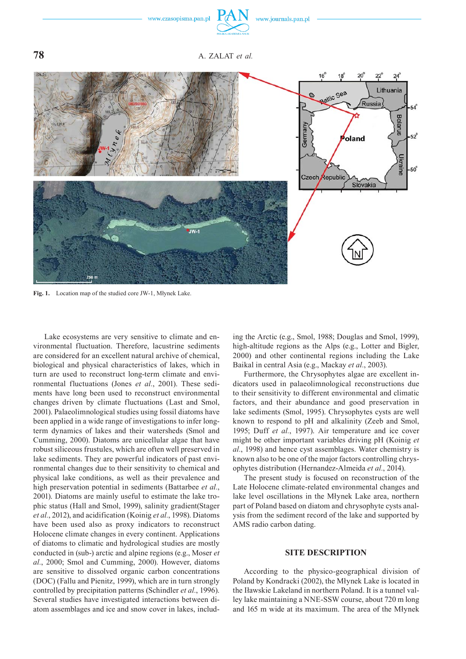

**78** A. ZALAT *et al.*



**Fig. 1.** Location map of the studied core JW-1, Młynek Lake.

Lake ecosystems are very sensitive to climate and environmental fluctuation. Therefore, lacustrine sediments are considered for an excellent natural archive of chemical, biological and physical characteristics of lakes, which in turn are used to reconstruct long-term climate and environmental fluctuations (Jones *et al.*, 2001). These sediments have long been used to reconstruct environmental changes driven by climate fluctuations (Last and Smol, 2001). Palaeolimnological studies using fossil diatoms have been applied in a wide range of investigations to infer longterm dynamics of lakes and their watersheds (Smol and Cumming, 2000). Diatoms are unicellular algae that have robust siliceous frustules, which are often well preserved in lake sediments. They are powerful indicators of past environmental changes due to their sensitivity to chemical and physical lake conditions, as well as their prevalence and high preservation potential in sediments (Battarbee *et al.*, 2001). Diatoms are mainly useful to estimate the lake trophic status (Hall and Smol, 1999), salinity gradient(Stager *et al.*, 2012), and acidification (Koinig *et al.*, 1998). Diatoms have been used also as proxy indicators to reconstruct Holocene climate changes in every continent. Applications of diatoms to climatic and hydrological studies are mostly conducted in (sub-) arctic and alpine regions (e.g., Moser *et al.*, 2000; Smol and Cumming, 2000). However, diatoms are sensitive to dissolved organic carbon concentrations (DOC) (Fallu and Pienitz, 1999), which are in turn strongly controlled by precipitation patterns (Schindler *et al.*, 1996). Several studies have investigated interactions between diatom assemblages and ice and snow cover in lakes, including the Arctic (e.g., Smol, 1988; Douglas and Smol, 1999), high-altitude regions as the Alps (e.g., Lotter and Bigler, 2000) and other continental regions including the Lake Baikal in central Asia (e.g., Mackay *et al.*, 2003).

Furthermore, the Chrysophytes algae are excellent indicators used in palaeolimnological reconstructions due to their sensitivity to different environmental and climatic factors, and their abundance and good preservation in lake sediments (Smol, 1995). Chrysophytes cysts are well known to respond to pH and alkalinity (Zeeb and Smol, 1995; Duff *et al.*, 1997). Air temperature and ice cover might be other important variables driving pH (Koinig *et al.*, 1998) and hence cyst assemblages. Water chemistry is known also to be one of the major factors controlling chrysophytes distribution (Hernandez-Almeida *et al.*, 2014).

The present study is focused on reconstruction of the Late Holocene climate-related environmental changes and lake level oscillations in the Młynek Lake area, northern part of Poland based on diatom and chrysophyte cysts analysis from the sediment record of the lake and supported by AMS radio carbon dating.

## **SITE DESCRIPTION**

According to the physico-geographical division of Poland by Kondracki (2002), the Młynek Lake is located in the Iławskie Lakeland in northern Poland. It is a tunnel valley lake maintaining a NNE-SSW course, about 720 m long and 165 m wide at its maximum. The area of the Młynek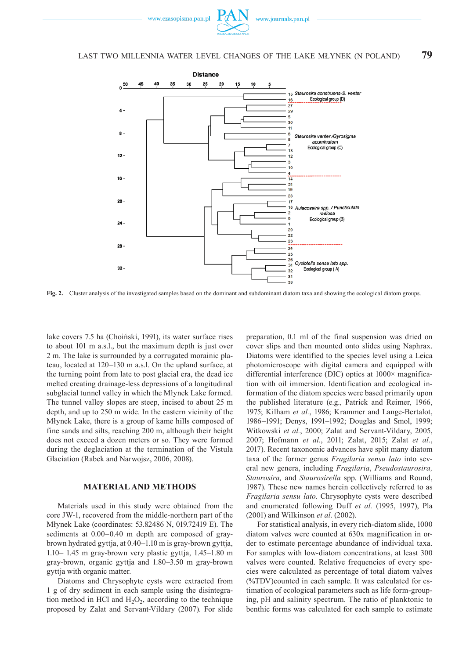

## LAST TWO MILLENNIA WATER LEVEL CHANGES OF THE LAKE MŁYNEK (N POLAND) **79**



**Fig. 2.** Cluster analysis of the investigated samples based on the dominant and subdominant diatom taxa and showing the ecological diatom groups.

lake covers 7.5 ha (Choiński, 1991), its water surface rises to about 101 m a.s.l., but the maximum depth is just over 2 m. The lake is surrounded by a corrugated morainic plateau, located at 120–130 m a.s.l. On the upland surface, at the turning point from late to post glacial era, the dead ice melted creating drainage-less depressions of a longitudinal subglacial tunnel valley in which the Młynek Lake formed. The tunnel valley slopes are steep, incised to about 25 m depth, and up to 250 m wide. In the eastern vicinity of the Młynek Lake, there is a group of kame hills composed of fine sands and silts, reaching 200 m, although their height does not exceed a dozen meters or so. They were formed during the deglaciation at the termination of the Vistula Glaciation (Rabek and Narwojsz, 2006, 2008).

## **MATERIAL AND METHODS**

Materials used in this study were obtained from the core JW-1, recovered from the middle-northern part of the Młynek Lake (coordinates: 53.82486 N, 019.72419 E). The sediments at 0.00–0.40 m depth are composed of graybrown hydrated gyttja, at 0.40–1.10 m is gray-brown gyttja, 1.10– 1.45 m gray-brown very plastic gyttja, 1.45–1.80 m gray-brown, organic gyttja and 1.80–3.50 m gray-brown gyttja with organic matter.

Diatoms and Chrysophyte cysts were extracted from 1 g of dry sediment in each sample using the disintegration method in HCl and  $H_2O_2$ , according to the technique proposed by Zalat and Servant-Vildary (2007). For slide preparation, 0.1 ml of the final suspension was dried on cover slips and then mounted onto slides using Naphrax. Diatoms were identified to the species level using a Leica photomicroscope with digital camera and equipped with differential interference (DIC) optics at 1000× magnification with oil immersion. Identification and ecological information of the diatom species were based primarily upon the published literature (e.g., Patrick and Reimer, 1966, 1975; Kilham *et al.*, 1986; Krammer and Lange-Bertalot, 1986–1991; Denys, 1991–1992; Douglas and Smol, 1999; Witkowski *et al.*, 2000; Zalat and Servant-Vildary, 2005, 2007; Hofmann *et al.*, 2011; Zalat, 2015; Zalat *et al.*, 2017). Recent taxonomic advances have split many diatom taxa of the former genus *Fragilaria sensu lato* into several new genera, including *Fragilaria*, *Pseudostaurosira, Staurosira,* and *Staurosirella* spp. (Williams and Round, 1987). These new names herein collectively referred to as *Fragilaria sensu lato*. Chrysophyte cysts were described and enumerated following Duff *et al.* (1995, 1997), Pla (2001) and Wilkinson *et al*. (2002).

For statistical analysis, in every rich-diatom slide, 1000 diatom valves were counted at 630x magnification in order to estimate percentage abundance of individual taxa. For samples with low-diatom concentrations, at least 300 valves were counted. Relative frequencies of every species were calculated as percentage of total diatom valves (%TDV)counted in each sample. It was calculated for estimation of ecological parameters such as life form-grouping, pH and salinity spectrum. The ratio of planktonic to benthic forms was calculated for each sample to estimate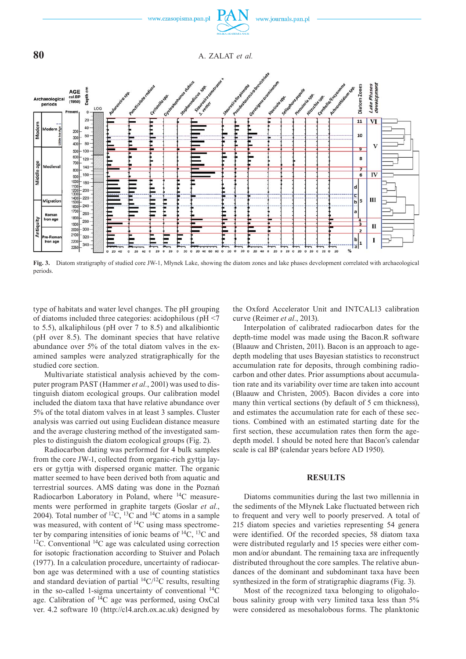

**Fig. 3.** Diatom stratigraphy of studied core JW-1, Młynek Lake, showing the diatom zones and lake phases development correlated with archaeological periods

type of habitats and water level changes. The pH grouping of diatoms included three categories: acidophilous (pH <7 to 5.5), alkaliphilous (pH over 7 to 8.5) and alkalibiontic (pH over 8.5). The dominant species that have relative abundance over 5% of the total diatom valves in the examined samples were analyzed stratigraphically for the studied core section.

Multivariate statistical analysis achieved by the computer program PAST (Hammer *et al.*, 2001) was used to distinguish diatom ecological groups. Our calibration model included the diatom taxa that have relative abundance over 5% of the total diatom valves in at least 3 samples. Cluster analysis was carried out using Euclidean distance measure and the average clustering method of the investigated samples to distinguish the diatom ecological groups (Fig. 2).

Radiocarbon dating was performed for 4 bulk samples from the core JW-1, collected from organic-rich gyttja layers or gyttja with dispersed organic matter. The organic matter seemed to have been derived both from aquatic and terrestrial sources. AMS dating was done in the Poznań Radiocarbon Laboratory in Poland, where 14C measurements were performed in graphite targets (Goslar *et al.*, 2004). Total number of <sup>12</sup>C, <sup>13</sup>C and <sup>14</sup>C atoms in a sample was measured, with content of  $^{14}$ C using mass spectrometer by comparing intensities of ionic beams of 14C, 13C and 12C. Conventional 14C age was calculated using correction for isotopic fractionation according to Stuiver and Polach (1977). In a calculation procedure, uncertainty of radiocarbon age was determined with a use of counting statistics and standard deviation of partial  $\frac{14C}{12C}$  results, resulting in the so-called 1-sigma uncertainty of conventional  ${}^{14}C$ age. Calibration of 14C age was performed, using OxCal ver. 4.2 software 10 (http://c14.arch.ox.ac.uk) designed by

the Oxford Accelerator Unit and INTCAL13 calibration curve (Reimer *et al.*, 2013).

Interpolation of calibrated radiocarbon dates for the depth-time model was made using the Bacon.R software (Blaauw and Christen, 2011). Bacon is an approach to agedepth modeling that uses Bayesian statistics to reconstruct accumulation rate for deposits, through combining radiocarbon and other dates. Prior assumptions about accumulation rate and its variability over time are taken into account (Blaauw and Christen, 2005). Bacon divides a core into many thin vertical sections (by default of 5 cm thickness), and estimates the accumulation rate for each of these sections. Combined with an estimated starting date for the first section, these accumulation rates then form the agedepth model. I should be noted here that Bacon's calendar scale is cal BP (calendar years before AD 1950).

#### **RESULTS**

Diatoms communities during the last two millennia in the sediments of the Młynek Lake fluctuated between rich to frequent and very well to poorly preserved. A total of 215 diatom species and varieties representing 54 genera were identified. Of the recorded species, 58 diatom taxa were distributed regularly and 15 species were either common and/or abundant. The remaining taxa are infrequently distributed throughout the core samples. The relative abundances of the dominant and subdominant taxa have been synthesized in the form of stratigraphic diagrams (Fig. 3).

Most of the recognized taxa belonging to oligohalobous salinity group with very limited taxa less than 5% were considered as mesohalobous forms. The planktonic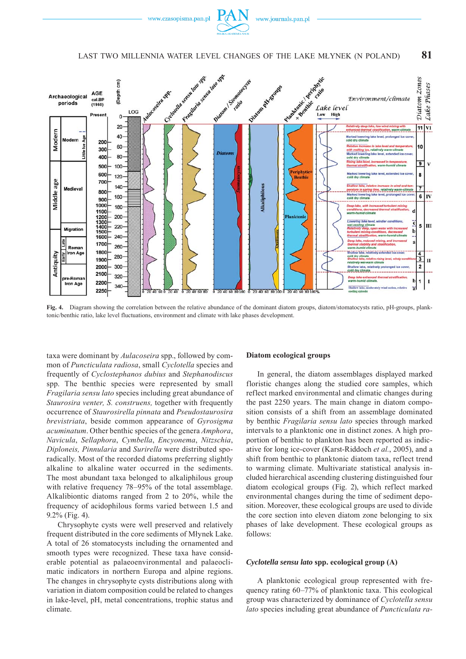

## LAST TWO MILLENNIA WATER LEVEL CHANGES OF THE LAKE MŁYNEK (N POLAND) **81**



**Fig. 4.** Diagram showing the correlation between the relative abundance of the dominant diatom groups, diatom/stomatocysts ratio, pH-groups, planktonic/benthic ratio, lake level fluctuations, environment and climate with lake phases development.

taxa were dominant by *Aulacoseira* spp., followed by common of *Puncticulata radiosa*, small *Cyclotella* species and frequently of *Cyclostephanos dubius* and *Stephanodiscus* spp. The benthic species were represented by small *Fragilaria sensu lato* species including great abundance of *Staurosira venter, S. construens,* together with frequently occurrence of *Staurosirella pinnata* and *Pseudostaurosira brevistriata*, beside common appearance of *Gyrosigma acuminatum*. Other benthic species of the genera *Amphora*, *Navicula*, *Sellaphora*, *Cymbella*, *Encyonema*, *Nitzschia*, *Diploneis, Pinnularia* and *Surirella* were distributed sporadically. Most of the recorded diatoms preferring slightly alkaline to alkaline water occurred in the sediments. The most abundant taxa belonged to alkaliphilous group with relative frequency 78–95% of the total assemblage. Alkalibiontic diatoms ranged from 2 to 20%, while the frequency of acidophilous forms varied between 1.5 and 9.2% (Fig. 4).

Chrysophyte cysts were well preserved and relatively frequent distributed in the core sediments of Młynek Lake. A total of 26 stomatocysts including the ornamented and smooth types were recognized. These taxa have considerable potential as palaeoenvironmental and palaeoclimatic indicators in northern Europa and alpine regions. The changes in chrysophyte cysts distributions along with variation in diatom composition could be related to changes in lake-level, pH, metal concentrations, trophic status and climate.

#### **Diatom ecological groups**

In general, the diatom assemblages displayed marked floristic changes along the studied core samples, which reflect marked environmental and climatic changes during the past 2250 years. The main change in diatom composition consists of a shift from an assemblage dominated by benthic *Fragilaria sensu lato* species through marked intervals to a planktonic one in distinct zones. A high proportion of benthic to plankton has been reported as indicative for long ice-cover (Karst-Riddoch *et al.*, 2005), and a shift from benthic to planktonic diatom taxa, reflect trend to warming climate. Multivariate statistical analysis included hierarchical ascending clustering distinguished four diatom ecological groups (Fig. 2), which reflect marked environmental changes during the time of sediment deposition. Moreover, these ecological groups are used to divide the core section into eleven diatom zone belonging to six phases of lake development. These ecological groups as follows:

#### *Cyclotella sensu lato* **spp. ecological group (A)**

A planktonic ecological group represented with frequency rating 60–77% of planktonic taxa. This ecological group was characterized by dominance of *Cyclotella sensu lato* species including great abundance of *Puncticulata ra-*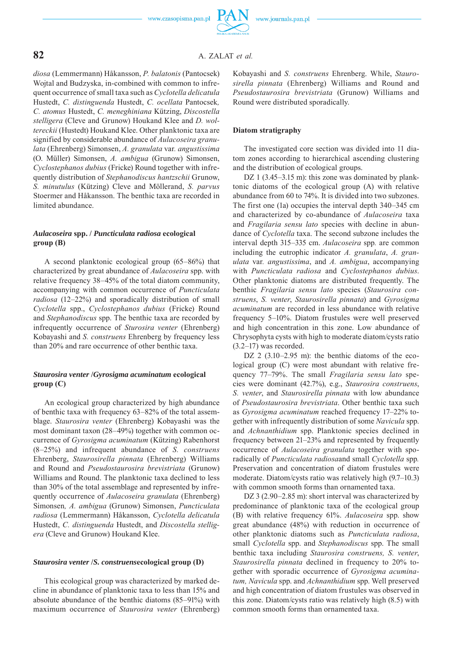## **82** A. ZALAT *et al.*

*diosa* (Lemmermann) Håkansson, *P. balatonis* (Pantocsek) Wojtal and Budzyska, in-combined with common to infrequent occurrence of small taxa such as *Cyclotella delicatula*  Hustedt, *C. distinguenda* Hustedt, *C. ocellata* Pantocsek*, C. atomus* Hustedt, *C. meneghiniana* Kützing, *Discostella stelligera* (Cleve and Grunow) Houkand Klee and *D. woltereckii* (Hustedt) Houkand Klee. Other planktonic taxa are signified by considerable abundance of *Aulacoseira granulata* (Ehrenberg) Simonsen, *A. granulata* var*. angustissima*  (O. Müller) Simonsen, *A. ambigua* (Grunow) Simonsen, *Cyclostephanos dubius* (Fricke) Round together with infrequently distribution of *Stephanodiscus hantzschii* Grunow, *S. minutulus* (Kützing) Cleve and Möllerand, *S. parvus*  Stoermer and Håkansson. The benthic taxa are recorded in limited abundance.

### *Aulacoseira* **spp. /** *Puncticulata radiosa* **ecological group (B)**

A second planktonic ecological group (65–86%) that characterized by great abundance of *Aulacoseira* spp. with relative frequency 38–45% of the total diatom community, accompanying with common occurrence of *Puncticulata radiosa* (12–22%) and sporadically distribution of small *Cyclotella* spp., *Cyclostephanos dubius* (Fricke) Round and *Stephanodiscus* spp. The benthic taxa are recorded by infrequently occurrence of *Sturosira venter* (Ehrenberg) Kobayashi and *S. construens* Ehrenberg by frequency less than 20% and rare occurrence of other benthic taxa.

## *Staurosira venter* **/***Gyrosigma acuminatum* **ecological group (C)**

An ecological group characterized by high abundance of benthic taxa with frequency 63–82% of the total assemblage. *Staurosira venter* (Ehrenberg) Kobayashi was the most dominant taxon (28–49%) together with common occurrence of *Gyrosigma acuminatum* (Kützing) Rabenhorst (8–25%) and infrequent abundance of *S. construens* Ehren berg, *Staurosirella pinnata* (Ehrenberg) Williams and Round and *Pseudostaurosira brevistriata* (Grunow) Williams and Round. The planktonic taxa declined to less than 30% of the total assemblage and represented by infrequently occurrence of *Aulacoseira granulata* (Ehrenberg) Simonsen*, A. ambigua* (Grunow) Simonsen, *Puncticulata radiosa* (Lemmermann) Håkansson, *Cyclotella delicatula*  Hustedt, *C. distinguenda* Hustedt, and *Discostella stelligera* (Cleve and Grunow) Houkand Klee.

#### *Staurosira venter* **/***S. construens***ecological group (D)**

This ecological group was characterized by marked decline in abundance of planktonic taxa to less than 15% and absolute abundance of the benthic diatoms (85–91%) with maximum occurrence of *Staurosira venter* (Ehrenberg) Kobayashi and *S. construens* Ehrenberg. While, *Staurosirella pinnata* (Ehrenberg) Williams and Round and *Pseudostaurosira brevistriata* (Grunow) Williams and Round were distributed sporadically.

#### **Diatom stratigraphy**

The investigated core section was divided into 11 diatom zones according to hierarchical ascending clustering and the distribution of ecological groups.

DZ 1 (3.45–3.15 m): this zone was dominated by planktonic diatoms of the ecological group (A) with relative abundance from 60 to 74%. It is divided into two subzones. The first one (1a) occupies the interval depth 340–345 cm and characterized by co-abundance of *Aulacoseira* taxa and *Fragilaria sensu lato* species with decline in abundance of *Cyclotella* taxa. The second subzone includes the interval depth 315–335 cm. *Aulacoseira* spp*.* are common including the eutrophic indicator *A. granulata*, *A. granulata* var*. angustissima*, and *A. ambigua*, accompanying with *Puncticulata radiosa* and *Cyclostephanos dubius*. Other planktonic diatoms are distributed frequently. The benthic *Fragilaria sensu lato* species (*Staurosira construens*, *S. venter*, *Staurosirella pinnata*) and *Gyrosigma acuminatum* are recorded in less abundance with relative frequency 5–10%. Diatom frustules were well preserved and high concentration in this zone. Low abundance of Chrysophyta cysts with high to moderate diatom/cysts ratio (3.2–17) was recorded.

DZ 2 (3.10–2.95 m): the benthic diatoms of the ecological group (C) were most abundant with relative frequency 77–79%. The small *Fragilaria sensu lato* species were dominant (42.7%), e.g., *Staurosira construens*, *S. venter*, and *Staurosirella pinnata* with low abundance of *Pseudostaurosira brevistriata*. Other benthic taxa such as *Gyrosigma acuminatum* reached frequency 17–22% together with infrequently distribution of some *Navicula* spp. and *Achnanthidium* spp. Planktonic species declined in frequency between 21–23% and represented by frequently occurrence of *Aulacoseira granulata* together with sporadically of *Puncticulata radiosa*and small *Cyclotella* spp*.*  Preservation and concentration of diatom frustules were moderate. Diatom/cysts ratio was relatively high (9.7–10.3) with common smooth forms than ornamented taxa.

DZ 3 (2.90–2.85 m): short interval was characterized by predominance of planktonic taxa of the ecological group (B) with relative frequency 61%. *Aulacoseira* spp. show great abundance (48%) with reduction in occurrence of other planktonic diatoms such as *Puncticulata radiosa*, small *Cyclotella* spp. and *Stephanodiscus* spp. The small benthic taxa including *Staurosira construens, S. venter*, *Staurosirella pinnata* declined in frequency to 20% together with sporadic occurrence of *Gyrosigma acuminatum, Navicula* spp. and *Achnanthidium* spp. Well preserved and high concentration of diatom frustules was observed in this zone. Diatom/cysts ratio was relatively high (8.5) with common smooth forms than ornamented taxa.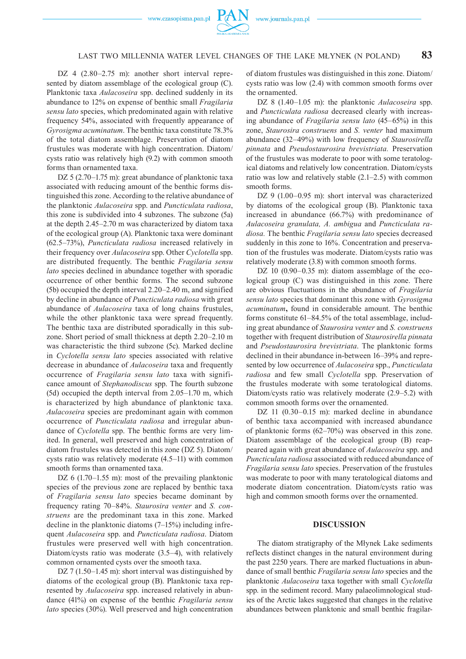

## LAST TWO MILLENNIA WATER LEVEL CHANGES OF THE LAKE MŁYNEK (N POLAND) **83**

DZ 4 (2.80–2.75 m): another short interval represented by diatom assemblage of the ecological group (C). Planktonic taxa *Aulacoseira* spp. declined suddenly in its abundance to 12% on expense of benthic small *Fragilaria sensu lato* species, which predominated again with relative frequency 54%, associated with frequently appearance of *Gyrosigma acuminatum*. The benthic taxa constitute 78.3% of the total diatom assemblage. Preservation of diatom frustules was moderate with high concentration. Diatom/ cysts ratio was relatively high (9.2) with common smooth forms than ornamented taxa.

DZ 5 (2.70–1.75 m): great abundance of planktonic taxa associated with reducing amount of the benthic forms distinguished this zone. According to the relative abundance of the planktonic *Aulacoseira* spp. and *Puncticulata radiosa*, this zone is subdivided into 4 subzones. The subzone (5a) at the depth 2.45–2.70 m was characterized by diatom taxa of the ecological group (A). Planktonic taxa were dominant (62.5–73%), *Puncticulata radiosa* increased relatively in their frequency over *Aulacoseira* spp. Other *Cyclotella* spp. are distributed frequently. The benthic *Fragilaria sensu lato* species declined in abundance together with sporadic occurrence of other benthic forms. The second subzone (5b) occupied the depth interval 2.20–2.40 m, and signified by decline in abundance of *Puncticulata radiosa* with great abundance of *Aulacoseira* taxa of long chains frustules, while the other planktonic taxa were spread frequently. The benthic taxa are distributed sporadically in this subzone. Short period of small thickness at depth 2.20–2.10 m was characteristic the third subzone (5c). Marked decline in *Cyclotella sensu lato* species associated with relative decrease in abundance of *Aulacoseira* taxa and frequently occurrence of *Fragilaria sensu lato* taxa with significance amount of *Stephanodiscus* spp. The fourth subzone (5d) occupied the depth interval from 2.05–1.70 m, which is characterized by high abundance of planktonic taxa. *Aulacoseira* species are predominant again with common occurrence of *Puncticulata radiosa* and irregular abundance of *Cyclotella* spp. The benthic forms are very limited. In general, well preserved and high concentration of diatom frustules was detected in this zone (DZ 5). Diatom/ cysts ratio was relatively moderate (4.5–11) with common smooth forms than ornamented taxa.

DZ 6 (1.70–1.55 m): most of the prevailing planktonic species of the previous zone are replaced by benthic taxa of *Fragilaria sensu lato* species became dominant by frequency rating 70–84%. *Staurosira venter* and *S. construens* are the predominant taxa in this zone. Marked decline in the planktonic diatoms (7–15%) including infrequent *Aulacoseira* spp. and *Puncticulata radiosa*. Diatom frustules were preserved well with high concentration. Diatom/cysts ratio was moderate (3.5–4), with relatively common ornamented cysts over the smooth taxa.

DZ 7 (1.50–1.45 m): short interval was distinguished by diatoms of the ecological group (B). Planktonic taxa represented by *Aulacoseira* spp. increased relatively in abundance (41%) on expense of the benthic *Fragilaria sensu lato* species (30%). Well preserved and high concentration of diatom frustules was distinguished in this zone. Diatom/ cysts ratio was low (2.4) with common smooth forms over the ornamented.

DZ 8 (1.40–1.05 m): the planktonic *Aulacoseira* spp. and *Puncticulata radiosa* decreased clearly with increasing abundance of *Fragilaria sensu lato* (45–65%) in this zone, *Staurosira construens* and *S. venter* had maximum abundance (32–49%) with low frequency of *Staurosirella pinnata* and *Pseudostaurosira brevistriata.* Preservation of the frustules was moderate to poor with some teratological diatoms and relatively low concentration. Diatom/cysts ratio was low and relatively stable (2.1–2.5) with common smooth forms.

DZ 9 (1.00–0.95 m): short interval was characterized by diatoms of the ecological group (B). Planktonic taxa increased in abundance (66.7%) with predominance of *Aulacoseira granulata, A. ambigua* and *Puncticulata radiosa.* The benthic *Fragilaria sensu lato* species decreased suddenly in this zone to 16%. Concentration and preservation of the frustules was moderate. Diatom/cysts ratio was relatively moderate (3.8) with common smooth forms.

DZ 10 (0.90–0.35 m): diatom assemblage of the ecological group (C) was distinguished in this zone. There are obvious fluctuations in the abundance of *Fragilaria sensu lato* species that dominant this zone with *Gyrosigma acuminatum***,** found in considerable amount. The benthic forms constitute 61–84.5% of the total assemblage, including great abundance of *Staurosira venter* and *S. construens*  together with frequent distribution of *Staurosirella pinnata*  and *Pseudostaurosira brevistriata*. The planktonic forms declined in their abundance in-between 16–39% and represented by low occurrence of *Aulacoseira* spp., *Puncticulata radiosa* and few small *Cyclotella* spp. Preservation of the frustules moderate with some teratological diatoms. Diatom/cysts ratio was relatively moderate (2.9–5.2) with common smooth forms over the ornamented.

DZ 11 (0.30–0.15 m): marked decline in abundance of benthic taxa accompanied with increased abundance of planktonic forms (62–70%) was observed in this zone. Diatom assemblage of the ecological group (B) reappeared again with great abundance of *Aulacoseira* spp. and *Puncticulata radiosa* associated with reduced abundance of *Fragilaria sensu lato* species. Preservation of the frustules was moderate to poor with many teratological diatoms and moderate diatom concentration. Diatom/cysts ratio was high and common smooth forms over the ornamented.

#### **DISCUSSION**

The diatom stratigraphy of the Młynek Lake sediments reflects distinct changes in the natural environment during the past 2250 years. There are marked fluctuations in abundance of small benthic *Fragilaria sensu lato* species and the planktonic *Aulacoseira* taxa together with small *Cyclotella* spp. in the sediment record. Many palaeolimnological studies of the Arctic lakes suggested that changes in the relative abundances between planktonic and small benthic fragilar-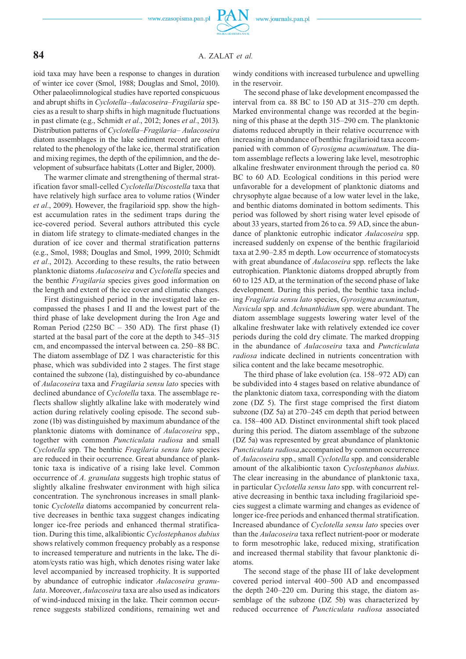

## **84** A. ZALAT *et al.*

ioid taxa may have been a response to changes in duration of winter ice cover (Smol, 1988; Douglas and Smol, 2010). Other palaeolimnological studies have reported conspicuous and abrupt shifts in *Cyclotella*–*Aulacoseira*–*Fragilaria* species as a result to sharp shifts in high magnitude fluctuations in past climate (e.g., Schmidt *et al.*, 2012; Jones *et al.*, 2013). Distribution patterns of *Cyclotella*–*Fragilaria*– *Aulacoseira* diatom assemblages in the lake sediment record are often related to the phenology of the lake ice, thermal stratification and mixing regimes, the depth of the epilimnion, and the development of subsurface habitats (Lotter and Bigler, 2000).

The warmer climate and strengthening of thermal stratification favor small-celled *Cyclotella*/*Discostella* taxa that have relatively high surface area to volume ratios (Winder *et al.*, 2009). However, the fragilarioid spp. show the highest accumulation rates in the sediment traps during the ice-covered period. Several authors attributed this cycle in diatom life strategy to climate-mediated changes in the duration of ice cover and thermal stratification patterns (e.g., Smol, 1988; Douglas and Smol, 1999, 2010; Schmidt *et al.*, 2012). According to these results, the ratio between planktonic diatoms *Aulacoseira* and *Cyclotella* species and the benthic *Fragilaria* species gives good information on the length and extent of the ice cover and climatic changes.

First distinguished period in the investigated lake encompassed the phases I and II and the lowest part of the third phase of lake development during the Iron Age and Roman Period (2250 BC – 350 AD). The first phase  $(I)$ started at the basal part of the core at the depth to 345–315 cm, and encompassed the interval between ca. 250–88 BC. The diatom assemblage of DZ 1 was characteristic for this phase, which was subdivided into 2 stages. The first stage contained the subzone (1a), distinguished by co-abundance of *Aulacoseira* taxa and *Fragilaria sensu lato* species with declined abundance of *Cyclotella* taxa. The assemblage reflects shallow slightly alkaline lake with moderately wind action during relatively cooling episode. The second subzone (1b) was distinguished by maximum abundance of the planktonic diatoms with dominance of *Aulacoseira* spp*.*, together with common *Puncticulata radiosa* and small *Cyclotella* spp. The benthic *Fragilaria sensu lato* species are reduced in their occurrence. Great abundance of planktonic taxa is indicative of a rising lake level. Common occurrence of *A. granulata* suggests high trophic status of slightly alkaline freshwater environment with high silica concentration. The synchronous increases in small planktonic *Cyclotella* diatoms accompanied by concurrent relative decreases in benthic taxa suggest changes indicating longer ice-free periods and enhanced thermal stratification. During this time, alkalibiontic *Cyclostephanos dubius*  shows relatively common frequency probably as a response to increased temperature and nutrients in the lake**.** The diatom/cysts ratio was high, which denotes rising water lake level accompanied by increased trophicity. It is supported by abundance of eutrophic indicator *Aulacoseira granulata*. Moreover, *Aulacoseira* taxa are also used as indicators of wind-induced mixing in the lake. Their common occurrence suggests stabilized conditions, remaining wet and windy conditions with increased turbulence and upwelling in the reservoir.

The second phase of lake development encompassed the interval from ca. 88 BC to 150 AD at 315–270 cm depth. Marked environmental change was recorded at the beginning of this phase at the depth 315–290 cm. The planktonic diatoms reduced abruptly in their relative occurrence with increasing in abundance of benthic fragilarioid taxa accompanied with common of *Gyrosigma acuminatum*. The diatom assemblage reflects a lowering lake level, mesotrophic alkaline freshwater environment through the period ca. 80 BC to 60 AD. Ecological conditions in this period were unfavorable for a development of planktonic diatoms and chrysophyte algae because of a low water level in the lake, and benthic diatoms dominated in bottom sediments. This period was followed by short rising water level episode of about 33 years, started from 26 to ca. 59 AD, since the abundance of planktonic eutrophic indicator *Aulacoseira* spp. increased suddenly on expense of the benthic fragilarioid taxa at 2.90–2.85 m depth. Low occurrence of stomatocysts with great abundance of *Aulacoseira* spp. reflects the lake eutrophication. Planktonic diatoms dropped abruptly from 60 to 125 AD, at the termination of the second phase of lake development. During this period, the benthic taxa including *Fragilaria sensu lato* species, *Gyrosigma acuminatum*, *Navicula* spp*.* and *Achnanthidium* spp. were abundant. The diatom assemblage suggests lowering water level of the alkaline freshwater lake with relatively extended ice cover periods during the cold dry climate. The marked dropping in the abundance of *Aulacoseira* taxa and *Puncticulata radiosa* indicate declined in nutrients concentration with silica content and the lake became mesotrophic.

The third phase of lake evolution (ca. 158–972 AD) can be subdivided into 4 stages based on relative abundance of the planktonic diatom taxa, corresponding with the diatom zone (DZ 5). The first stage comprised the first diatom subzone (DZ 5a) at 270–245 cm depth that period between ca. 158–400 AD. Distinct environmental shift took placed during this period. The diatom assemblage of the subzone (DZ 5a) was represented by great abundance of planktonic *Puncticulata radiosa*,accompanied by common occurrence of *Aulacoseira* spp., small *Cyclotella* spp. and considerable amount of the alkalibiontic taxon *Cyclostephanos dubius*. The clear increasing in the abundance of planktonic taxa, in particular *Cyclotella sensu lato* spp. with concurrent relative decreasing in benthic taxa including fragilarioid species suggest a climate warming and changes as evidence of longer ice-free periods and enhanced thermal stratification. Increased abundance of *Cyclotella sensu lato* species over than the *Aulacoseira* taxa reflect nutrient-poor or moderate to form mesotrophic lake, reduced mixing, stratification and increased thermal stability that favour planktonic diatoms.

The second stage of the phase III of lake development covered period interval 400–500 AD and encompassed the depth 240–220 cm. During this stage, the diatom assemblage of the subzone (DZ 5b) was characterized by reduced occurrence of *Puncticulata radiosa* associated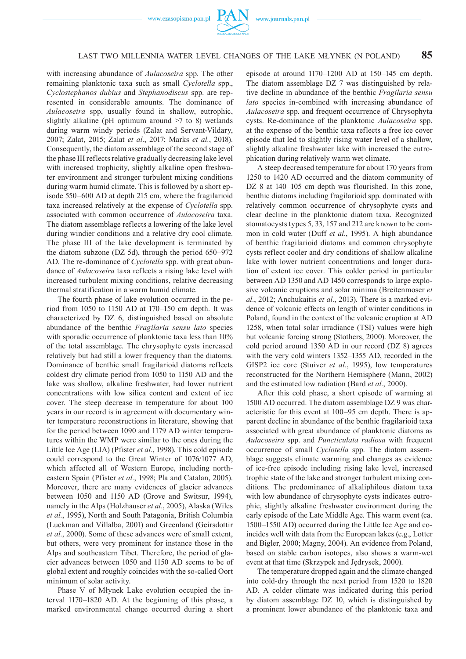



## LAST TWO MILLENNIA WATER LEVEL CHANGES OF THE LAKE MŁYNEK (N POLAND) **85**

with increasing abundance of *Aulacoseira* spp. The other remaining planktonic taxa such as small *Cyclotella* spp., *Cyclostephanos dubius* and *Stephanodiscus* spp. are represented in considerable amounts. The dominance of *Aulacoseira* spp, usually found in shallow, eutrophic, slightly alkaline (pH optimum around  $\geq 7$  to 8) wetlands during warm windy periods (Zalat and Servant-Vildary, 2007; Zalat, 2015; Zalat *et al.*, 2017; Marks *et al.*, 2018). Consequently, the diatom assemblage of the second stage of the phase III reflects relative gradually decreasing lake level with increased trophicity, slightly alkaline open freshwater environment and stronger turbulent mixing conditions during warm humid climate. This is followed by a short episode 550–600 AD at depth 215 cm, where the fragilarioid taxa increased relatively at the expense of *Cyclotella* spp. associated with common occurrence of *Aulacoseira* taxa. The diatom assemblage reflects a lowering of the lake level during windier conditions and a relative dry cool climate. The phase III of the lake development is terminated by the diatom subzone (DZ 5d), through the period 650–972 AD. The re-dominance of *Cyclotella* spp. with great abundance of *Aulacoseira* taxa reflects a rising lake level with increased turbulent mixing conditions, relative decreasing thermal stratification in a warm humid climate.

The fourth phase of lake evolution occurred in the period from 1050 to 1150 AD at 170–150 cm depth. It was characterized by DZ 6, distinguished based on absolute abundance of the benthic *Fragilaria sensu lato* species with sporadic occurrence of planktonic taxa less than 10% of the total assemblage. The chrysophyte cysts increased relatively but had still a lower frequency than the diatoms. Dominance of benthic small fragilarioid diatoms reflects coldest dry climate period from 1050 to 1150 AD and the lake was shallow, alkaline freshwater, had lower nutrient concentrations with low silica content and extent of ice cover. The steep decrease in temperature for about 100 years in our record is in agreement with documentary winter temperature reconstructions in literature, showing that for the period between 1090 and 1179 AD winter temperatures within the WMP were similar to the ones during the Little Ice Age (LIA) (Pfister *et al.*, 1998). This cold episode could correspond to the Great Winter of 1076/1077 AD, which affected all of Western Europe, including northeastern Spain (Pfister *et al.*, 1998; Pla and Catalan, 2005). Moreover, there are many evidences of glacier advances between 1050 and 1150 AD (Grove and Switsur, 1994), namely in the Alps (Holzhauser *et al.*, 2005), Alaska (Wiles *et al.*, 1995), North and South Patagonia, British Columbia (Luckman and Villalba, 2001) and Greenland (Geirsdottir *et al.*, 2000). Some of these advances were of small extent, but others, were very prominent for instance those in the Alps and southeastern Tibet. Therefore, the period of glacier advances between 1050 and 1150 AD seems to be of global extent and roughly coincides with the so-called Oort minimum of solar activity.

Phase V of Młynek Lake evolution occupied the interval 1170–1820 AD. At the beginning of this phase, a marked environmental change occurred during a short episode at around 1170–1200 AD at 150–145 cm depth. The diatom assemblage DZ 7 was distinguished by relative decline in abundance of the benthic *Fragilaria sensu lato* species in-combined with increasing abundance of *Aulacoseira* spp. and frequent occurrence of Chrysophyta cysts. Re-dominance of the planktonic *Aulacoseira* spp. at the expense of the benthic taxa reflects a free ice cover episode that led to slightly rising water level of a shallow, slightly alkaline freshwater lake with increased the eutrophication during relatively warm wet climate.

A steep decreased temperature for about 170 years from 1250 to 1420 AD occurred and the diatom community of DZ 8 at 140–105 cm depth was flourished. In this zone, benthic diatoms including fragilarioid spp. dominated with relatively common occurrence of chrysophyte cysts and clear decline in the planktonic diatom taxa. Recognized stomatocysts types 5, 33, 157 and 212 are known to be common in cold water (Duff *et al.*, 1995). A high abundance of benthic fragilarioid diatoms and common chrysophyte cysts reflect cooler and dry conditions of shallow alkaline lake with lower nutrient concentrations and longer duration of extent ice cover. This colder period in particular between AD 1350 and AD 1450 corresponds to large explosive volcanic eruptions and solar minima (Breitenmoser *et al.*, 2012; Anchukaitis *et al.*, 2013). There is a marked evidence of volcanic effects on length of winter conditions in Poland, found in the context of the volcanic eruption at AD 1258, when total solar irradiance (TSI) values were high but volcanic forcing strong (Stothers, 2000). Moreover, the cold period around 1350 AD in our record (DZ 8) agrees with the very cold winters 1352–1355 AD, recorded in the GISP2 ice core (Stuiver *et al.*, 1995), low temperatures reconstructed for the Northern Hemisphere (Mann, 2002) and the estimated low radiation (Bard *et al.*, 2000).

After this cold phase, a short episode of warming at 1500 AD occurred. The diatom assemblage DZ 9 was characteristic for this event at 100–95 cm depth. There is apparent decline in abundance of the benthic fragilarioid taxa associated with great abundance of planktonic diatoms as *Aulacoseira* spp. and *Puncticulata radiosa* with frequent occurrence of small *Cyclotella* spp. The diatom assemblage suggests climate warming and changes as evidence of ice-free episode including rising lake level, increased trophic state of the lake and stronger turbulent mixing conditions. The predominance of alkaliphilous diatom taxa with low abundance of chrysophyte cysts indicates eutrophic, slightly alkaline freshwater environment during the early episode of the Late Middle Age. This warm event (ca. 1500–1550 AD) occurred during the Little Ice Age and coincides well with data from the European lakes (e.g., Lotter and Bigler, 2000; Magny, 2004). An evidence from Poland, based on stable carbon isotopes, also shows a warm-wet event at that time (Skrzypek and Jędrysek, 2000).

The temperature dropped again and the climate changed into cold-dry through the next period from 1520 to 1820 AD. A colder climate was indicated during this period by diatom assemblage DZ 10, which is distinguished by a prominent lower abundance of the planktonic taxa and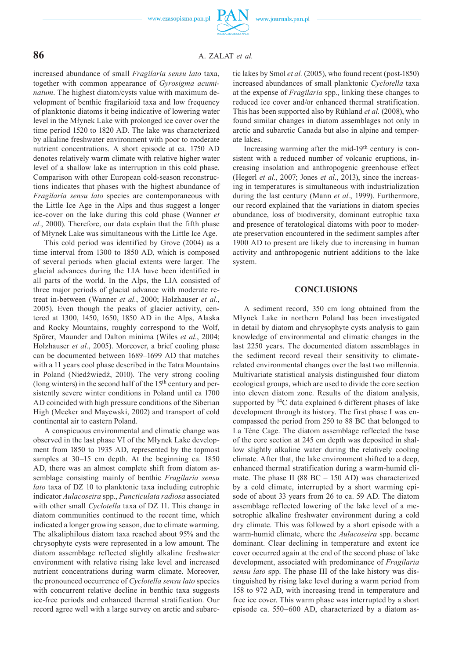

## **86** A. ZALAT *et al.*

increased abundance of small *Fragilaria sensu lato* taxa, together with common appearance of *Gyrosigma acuminatum*. The highest diatom/cysts value with maximum development of benthic fragilarioid taxa and low frequency of planktonic diatoms it being indicative of lowering water level in the Młynek Lake with prolonged ice cover over the time period 1520 to 1820 AD. The lake was characterized by alkaline freshwater environment with poor to moderate nutrient concentrations. A short episode at ca. 1750 AD denotes relatively warm climate with relative higher water level of a shallow lake as interruption in this cold phase. Comparison with other European cold-season reconstructions indicates that phases with the highest abundance of *Fragilaria sensu lato* species are contemporaneous with the Little Ice Age in the Alps and thus suggest a longer ice-cover on the lake during this cold phase (Wanner *et al.*, 2000). Therefore, our data explain that the fifth phase of Młynek Lake was simultaneous with the Little Ice Age.

This cold period was identified by Grove (2004) as a time interval from 1300 to 1850 AD, which is composed of several periods when glacial extents were larger. The glacial advances during the LIA have been identified in all parts of the world. In the Alps, the LIA consisted of three major periods of glacial advance with moderate retreat in-between (Wanner *et al.*, 2000; Holzhauser *et al.*, 2005). Even though the peaks of glacier activity, centered at 1300, 1450, 1650, 1850 AD in the Alps, Alaska and Rocky Mountains, roughly correspond to the Wolf, Spörer, Maunder and Dalton minima (Wiles *et al.*, 2004; Holzhauser *et al.*, 2005). Moreover, a brief cooling phase can be documented between 1689–1699 AD that matches with a 11 years cool phase described in the Tatra Mountains in Poland (Niedźwiedź, 2010). The very strong cooling (long winters) in the second half of the 15th century and persistently severe winter conditions in Poland until ca 1700 AD coincided with high pressure conditions of the Siberian High (Meeker and Mayewski, 2002) and transport of cold continental air to eastern Poland.

A conspicuous environmental and climatic change was observed in the last phase VI of the Młynek Lake development from 1850 to 1935 AD, represented by the topmost samples at 30–15 cm depth. At the beginning ca. 1850 AD, there was an almost complete shift from diatom assemblage consisting mainly of benthic *Fragilaria sensu lato* taxa of DZ 10 to planktonic taxa including eutrophic indicator *Aulacoseira* spp., *Puncticulata radiosa* associated with other small *Cyclotella* taxa of DZ 11. This change in diatom communities continued to the recent time, which indicated a longer growing season, due to climate warming. The alkaliphilous diatom taxa reached about 95% and the chrysophyte cysts were represented in a low amount. The diatom assemblage reflected slightly alkaline freshwater environment with relative rising lake level and increased nutrient concentrations during warm climate. Moreover, the pronounced occurrence of *Cyclotella sensu lato* species with concurrent relative decline in benthic taxa suggests ice-free periods and enhanced thermal stratification. Our record agree well with a large survey on arctic and subarctic lakes by Smol *et al.* (2005), who found recent (post-1850) increased abundances of small planktonic *Cyclotella* taxa at the expense of *Fragilaria* spp., linking these changes to reduced ice cover and/or enhanced thermal stratification. This has been supported also by Rühland *et al.* (2008), who found similar changes in diatom assemblages not only in arctic and subarctic Canada but also in alpine and temperate lakes.

Increasing warming after the mid-19th century is consistent with a reduced number of volcanic eruptions, increasing insolation and anthropogenic greenhouse effect (Hegerl *et al.*, 2007; Jones *et al.*, 2013), since the increasing in temperatures is simultaneous with industrialization during the last century (Mann *et al.*, 1999). Furthermore, our record explained that the variations in diatom species abundance, loss of biodiversity, dominant eutrophic taxa and presence of teratological diatoms with poor to moderate preservation encountered in the sediment samples after 1900 AD to present are likely due to increasing in human activity and anthropogenic nutrient additions to the lake system.

#### **CONCLUSIONS**

A sediment record, 350 cm long obtained from the Młynek Lake in northern Poland has been investigated in detail by diatom and chrysophyte cysts analysis to gain knowledge of environmental and climatic changes in the last 2250 years. The documented diatom assemblages in the sediment record reveal their sensitivity to climaterelated environmental changes over the last two millennia. Multivariate statistical analysis distinguished four diatom ecological groups, which are used to divide the core section into eleven diatom zone. Results of the diatom analysis, supported by <sup>14</sup>C data explained 6 different phases of lake development through its history. The first phase I was encompassed the period from 250 to 88 BC that belonged to La Tène Cage. The diatom assemblage reflected the base of the core section at 245 cm depth was deposited in shallow slightly alkaline water during the relatively cooling climate. After that, the lake environment shifted to a deep, enhanced thermal stratification during a warm-humid climate. The phase II (88 BC – 150 AD) was characterized by a cold climate, interrupted by a short warming episode of about 33 years from 26 to ca. 59 AD. The diatom assemblage reflected lowering of the lake level of a mesotrophic alkaline freshwater environment during a cold dry climate. This was followed by a short episode with a warm-humid climate, where the *Aulacoseira* spp. became dominant. Clear declining in temperature and extent ice cover occurred again at the end of the second phase of lake development, associated with predominance of *Fragilaria sensu lato* spp. The phase III of the lake history was distinguished by rising lake level during a warm period from 158 to 972 AD, with increasing trend in temperature and free ice cover. This warm phase was interrupted by a short episode ca. 550–600 AD, characterized by a diatom as-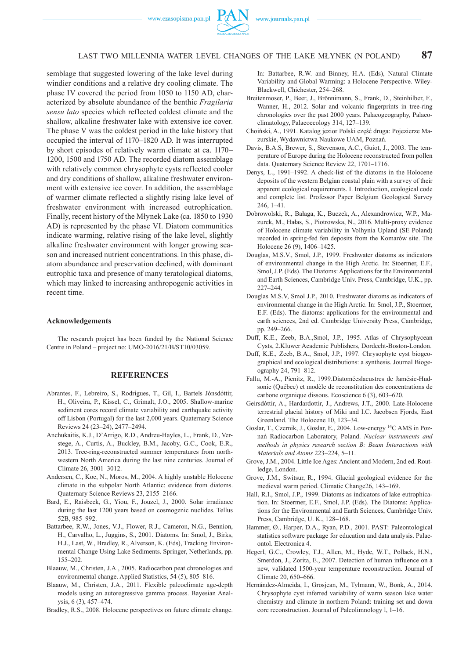

## LAST TWO MILLENNIA WATER LEVEL CHANGES OF THE LAKE MŁYNEK (N POLAND) **87**

semblage that suggested lowering of the lake level during windier conditions and a relative dry cooling climate. The phase IV covered the period from 1050 to 1150 AD, characterized by absolute abundance of the benthic *Fragilaria sensu lato* species which reflected coldest climate and the shallow, alkaline freshwater lake with extensive ice cover. The phase V was the coldest period in the lake history that occupied the interval of 1170–1820 AD. It was interrupted by short episodes of relatively warm climate at ca. 1170– 1200, 1500 and 1750 AD. The recorded diatom assemblage with relatively common chrysophyte cysts reflected cooler and dry conditions of shallow, alkaline freshwater environment with extensive ice cover. In addition, the assemblage of warmer climate reflected a slightly rising lake level of freshwater environment with increased eutrophication. Finally, recent history of the Młynek Lake (ca. 1850 to 1930 AD) is represented by the phase VI. Diatom communities indicate warming, relative rising of the lake level, slightly alkaline freshwater environment with longer growing season and increased nutrient concentrations. In this phase, diatom abundance and preservation declined, with dominant eutrophic taxa and presence of many teratological diatoms, which may linked to increasing anthropogenic activities in recent time.

#### **Acknowledgements**

The research project has been funded by the National Science Centre in Poland – project no: UMO-2016/21/B/ST10/03059.

### **REFERENCES**

- Abrantes, F., Lebreiro, S., Rodrigues, T., Gil, I., Bartels Jónsdóttir, H., Oliveira, P., Kissel, C., Grimalt, J.O., 2005. Shallow-marine sediment cores record climate variability and earthquake activity off Lisbon (Portugal) for the last 2,000 years. Quaternary Science Reviews 24 (23–24), 2477–2494.
- Anchukaitis, K.J., D'Arrigo, R.D., Andreu-Hayles, L., Frank, D., Verstege, A., Curtis, A., Buckley, B.M., Jacoby, G.C., Cook, E.R., 2013. Tree-ring-reconstructed summer temperatures from northwestern North America during the last nine centuries. Journal of Climate 26, 3001–3012.
- Andersen, C., Koc, N., Moros, M., 2004. A highly unstable Holocene climate in the subpolar North Atlantic: evidence from diatoms. Quaternary Science Reviews 23, 2155–2166.
- Bard, E., Raisbeck, G., Yiou, F., Jouzel, J., 2000. Solar irradiance during the last 1200 years based on cosmogenic nuclides. Tellus 52B, 985–992.
- Battarbee, R.W., Jones, V.J., Flower, R.J., Cameron, N.G., Bennion, H., Carvalho, L., Juggins, S., 2001. Diatoms. In: Smol, J., Birks, H.J., Last, W., Bradley, R., Alverson, K. (Eds), Tracking Environmental Change Using Lake Sediments. Springer, Netherlands, pp. 155–202.
- Blaauw, M., Christen, J.A., 2005. Radiocarbon peat chronologies and environmental change. Applied Statistics, 54 (5), 805–816.
- Blaauw, M., Christen, J.A., 2011. Flexible paleoclimate age-depth models using an autoregressive gamma process. Bayesian Analysis, 6 (3), 457–474.
- Bradley, R.S., 2008. Holocene perspectives on future climate change.

In: Battarbee, R.W. and Binney, H.A. (Eds), Natural Climate Variability and Global Warming: a Holocene Perspective. Wiley-Blackwell, Chichester, 254–268.

- Breitenmoser, P., Beer, J., Brönnimann, S., Frank, D., Steinhilber, F., Wanner, H., 2012. Solar and volcanic fingerprints in tree-ring chronologies over the past 2000 years. Palaeogeography, Palaeoclimatology, Palaeoecology 314, 127–139.
- Choiński, A., 1991. Katalog jezior Polski część druga: Pojezierze Mazurskie, Wydawnictwa Naukowe UAM, Poznań.
- Davis, B.A.S, Brewer, S., Stevenson, A.C., Guiot, J., 2003. The temperature of Europe during the Holocene reconstructed from pollen data. Quaternary Science Review 22, 1701–1716.
- Denys, L., 1991–1992. A check-list of the diatoms in the Holocene deposits of the western Belgian coastal plain with a survey of their apparent ecological requirements. I. Introduction, ecological code and complete list. Professor Paper Belgium Geological Survey 246, 1–41.
- Dobrowolski, R., Bałaga, K., Buczek, A., Alexandrowicz, W.P., Mazurek, M., Hałas, S., Piotrowska, N., 2016. Multi-proxy evidence of Holocene climate variability in Volhynia Upland (SE Poland) recorded in spring-fed fen deposits from the Komarów site. The Holocene 26 (9), 1406–1425.
- Douglas, M.S.V., Smol, J.P., 1999. Freshwater diatoms as indicators of environmental change in the High Arctic. In: Stoermer, E.F., Smol, J.P. (Eds). The Diatoms: Applications for the Environmental and Earth Sciences, Cambridge Univ. Press, Cambridge, U.K., pp. 227–244,
- Douglas M.S.V, Smol J.P., 2010. Freshwater diatoms as indicators of environmental change in the High Arctic. In: Smol, J.P., Stoermer, E.F. (Eds). The diatoms: applications for the environmental and earth sciences, 2nd ed. Cambridge University Press, Cambridge, pp. 249–266.
- Duff, K.E., Zeeb, B.A.,Smol, J.P., 1995. Atlas of Chrysophycean Cysts, 2.Kluwer Academic Publishers, Dordecht-Boston-London.
- Duff, K.E., Zeeb, B.A., Smol, J.P., 1997. Chrysophyte cyst biogeographical and ecological distributions: a synthesis. Journal Biogeography 24, 791–812.
- Fallu, M.-A., Pienitz, R., 1999.Diatoméeslacustres de Jamésie-Hudsonie (Québec) et modèle de reconstitution des concentrations de carbone organique dissous. Ecoscience 6 (3), 603–620.
- Geirsdóttir, A., Hardardottir, J., Andrews, J.T., 2000. Late-Holocene terrestrial glacial history of Miki and I.C. Jacobsen Fjords, East Greenland. The Holocene 10, 123–34.
- Goslar, T., Czernik, J., Goslar, E., 2004. Low-energy 14C AMS in Poznań Radiocarbon Laboratory, Poland. *Nuclear instruments and methods in physics research section B: Beam Interactions with Materials and Atoms* 223–224, 5–11.
- Grove, J.M., 2004. Little Ice Ages: Ancient and Modern, 2nd ed. Routledge, London.
- Grove, J.M., Switsur, R., 1994. Glacial geological evidence for the medieval warm period. Climatic Change26, 143–169.
- Hall, R.I., Smol, J.P., 1999. Diatoms as indicators of lake eutrophication. In: Stoermer, E.F., Smol, J.P. (Eds). The Diatoms: Applications for the Environmental and Earth Sciences, Cambridge Univ. Press, Cambridge, U. K., 128–168.
- Hammer, Ø., Harper, D.A., Ryan, P.D., 2001. PAST: Paleontological statistics software package for education and data analysis. Palaeontol. Electronica 4.
- Hegerl, G.C., Crowley, T.J., Allen, M., Hyde, W.T., Pollack, H.N., Smerdon, J., Zorita, E., 2007. Detection of human influence on a new, validated 1500-year temperature reconstruction. Journal of Climate 20, 650–666.
- Hernández-Almeida, I., Grosjean, M., Tylmann, W., Bonk, A., 2014. Chrysophyte cyst inferred variability of warm season lake water chemistry and climate in northern Poland: training set and down core reconstruction. Journal of Paleolimnology l, 1–16.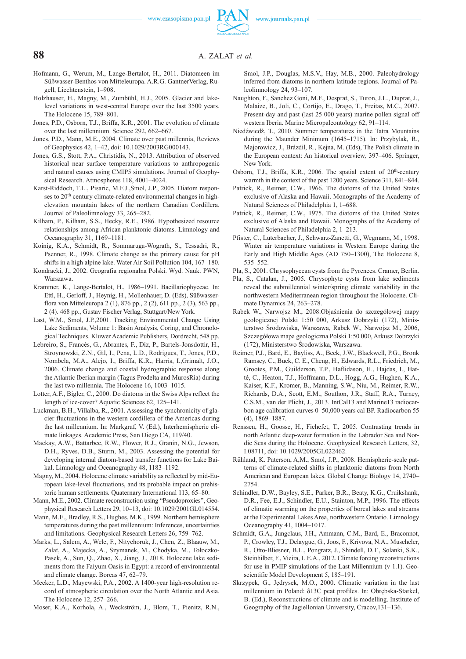## **88** A. ZALAT *et al.*

- Hofmann, G., Werum, M., Lange-Bertalot, H., 2011. Diatomeen im Süßwasser-Benthos von Mitteleuropa. A.R.G. GantnerVerlag, Rugell, Liechtenstein, 1–908.
- Holzhauser, H., Magny, M., Zumbühl, H.J., 2005. Glacier and lakelevel variations in west-central Europe over the last 3500 years. The Holocene 15, 789–801.
- Jones, P.D., Osborn, T.J., Briffa, K.R., 2001. The evolution of climate over the last millennium. Science 292, 662–667.
- Jones, P.D., Mann, M.E., 2004. Climate over past millennia, Reviews of Geophysics 42, 1–42, doi: 10.1029/2003RG000143.
- Jones, G.S., Stott, P.A., Christidis, N., 2013. Attribution of observed historical near surface temperature variations to anthropogenic and natural causes using CMIP5 simulations. Journal of Geophysical Research. Atmospheres 118, 4001–4024.
- Karst-Riddoch, T.L., Pisaric, M.F.J.,Smol, J.P., 2005. Diatom responses to 20<sup>th</sup> century climate-related environmental changes in highelevation mountain lakes of the northern Canadian Cordillera. Journal of Paleolimnology 33, 265–282.
- Kilham, P., Kilham, S.S., Hecky, R.E., 1986. Hypothesized resource relationships among African planktonic diatoms. Limnology and Oceanography 31, 1169–1181.
- Koinig, K.A., Schmidt, R., Sommaruga-Wograth, S., Tessadri, R., Psenner, R., 1998. Climate change as the primary cause for pH shifts in a high alpine lake. Water Air Soil Pollution 104, 167–180.
- Kondracki, J., 2002. Geografia regionalna Polski. Wyd. Nauk. PWN, Warszawa.
- Krammer, K., Lange-Bertalot, H., 1986–1991. Bacillariophyceae. In: Ettl, H., Gerloff, J., Heynig, H., Mollenhauer, D. (Eds), Süßwasserflora von Mitteleuropa 2 (1), 876 pp., 2 (2), 611 pp., 2 (3), 563 pp., 2 (4). 468 pp., Gustav Fischer Verlag, Stuttgart/New York.
- Last, W.M., Smol, J.P.,2001. Tracking Environmental Change Using Lake Sediments, Volume 1: Basin Analysis, Coring, and Chronological Techniques. Kluwer Academic Publishers, Dordrecht, 548 pp.
- Lebreiro, S., Francés, G., Abrantes, F., Diz, P., Bartels-Jonsdottir, H., Stroynowski, Z.N., Gil, I., Pena, L.D., Rodrigues, T., Jones, P.D., Nombela, M.A., Alejo, I., Briffa, K.R., Harris, I.,Grimalt, J.O., 2006. Climate change and coastal hydrographic response along the Atlantic Iberian margin (Tagus Prodelta and MurosRía) during the last two millennia. The Holocene 16, 1003–1015.
- Lotter, A.F., Bigler, C., 2000. Do diatoms in the Swiss Alps reflect the length of ice-cover? Aquatic Sciences 62, 125–141.
- Luckman, B.H., Villalba, R., 2001. Assessing the synchronicity of glacier fluctuations in the western cordillera of the Americas during the last millennium. In: Markgraf, V. (Ed.), Interhemispheric climate linkages. Academic Press, San Diego CA, 119/40.
- Mackay, A.W., Battarbee, R.W., Flower, R.J., Granin, N.G., Jewson, D.H., Ryves, D.B., Sturm, M., 2003. Assessing the potential for developing internal diatom-based transfer functions for Lake Baikal. Limnology and Oceanography 48, 1183–1192.
- Magny, M., 2004. Holocene climate variability as reflected by mid-European lake-level fluctuations, and its probable impact on prehistoric human settlements. Quaternary International 113, 65–80.
- Mann, M.E., 2002. Climate reconstruction using "Pseudoproxies", Geophysical Research Letters 29, 10–13, doi: 10.1029/2001GL014554.
- Mann, M.E., Bradley, R.S., Hughes, M.K., 1999. Northern hemisphere temperatures during the past millennium: Inferences, uncertainties and limitations. Geophysical Research Letters 26, 759–762.
- Marks, L., Salem, A., Welc, F., Nitychoruk, J., Chen, Z., Blaauw, M., Zalat, A., Majecka, A., Szymanek, M., Chodyka, M., Tołoczko-Pasek, A., Sun, Q., Zhao, X., Jiang, J., 2018. Holocene lake sediments from the Faiyum Oasis in Egypt: a record of environmental and climate change. Boreas 47, 62–79.
- Meeker, L.D., Mayewski, P.A., 2002. A 1400-year high-resolution record of atmospheric circulation over the North Atlantic and Asia. The Holocene 12, 257–266.
- Moser, K.A., Korhola, A., Weckström, J., Blom, T., Pienitz, R.N.,

Smol, J.P., Douglas, M.S.V., Hay, M.B., 2000. Paleohydrology inferred from diatoms in northern latitude regions. Journal of Paleolimnology 24, 93–107.

- Naughton, F., Sanchez Goni, M.F., Desprat, S., Turon, J.L., Duprat, J., Malaize, B., Joli, C., Cortijo, E., Drago, T., Freitas, M.C., 2007. Present-day and past (last 25 000 years) marine pollen signal off western Iberia. Marine Micropaleontology 62, 91–114.
- Niedźwiedź, T., 2010. Summer temperatures in the Tatra Mountains during the Maunder Minimum (1645–1715). In: Przybylak, R., Majorowicz, J., Brázdil, R., Kejna, M. (Eds), The Polish climate in the European context: An historical overview*,* 397–406. Springer, New York.
- Osborn, T.J., Briffa, K.R., 2006. The spatial extent of  $20<sup>th</sup>$ -century warmth in the context of the past 1200 years. Science 311, 841–844.
- Patrick, R., Reimer, C.W., 1966. The diatoms of the United States exclusive of Alaska and Hawaii. Monographs of the Academy of Natural Sciences of Philadelphia 1, 1–688.
- Patrick, R., Reimer, C.W., 1975. The diatoms of the United States exclusive of Alaska and Hawaii. Monographs of the Academy of Natural Sciences of Philadelphia 2, 1–213.
- Pfister, C., Luterbacher, J., Schwarz-Zanetti, G., Wegmann, M., 1998. Winter air temperature variations in Western Europe during the Early and High Middle Ages (AD 750–1300), The Holocene 8, 535–552.
- Pla, S., 2001. Chrysophycean cysts from the Pyrenees. Cramer, Berlin.
- Pla, S., Catalan, J., 2005. Chrysophyte cysts from lake sediments reveal the submillennial winter/spring climate variability in the northwestern Mediterranean region throughout the Holocene. Climate Dynamics 24, 263–278.
- Rabek W., Narwojsz M., 2008.Objaśnienia do szczegółowej mapy geologicznej Polski 1:50 000, Arkusz Dobrzyki (172), Ministerstwo Środowiska, Warszawa, Rabek W., Narwojsz M., 2006, Szczegółowa mapa geologiczna Polski 1:50 000, Arkusz Dobrzyki (172), Ministerstwo Środowiska, Warszawa.
- Reimer, P.J., Bard, E., Bayliss, A., Beck, J.W., Blackwell, P.G., Bronk Ramsey, C., Buck, C. E., Cheng, H., Edwards, R.L., Friedrich, M., Grootes, P.M., Guilderson, T.P., Haflidason, H., Hajdas, I., Hatté, C., Heaton, T.J., Hoffmann, D.L., Hogg, A.G., Hughen, K.A., Kaiser, K.F., Kromer, B., Manning, S.W., Niu, M., Reimer, R.W., Richards, D.A., Scott, E.M., Southon, J.R., Staff, R.A., Turney, C.S.M., van der Plicht, J., 2013. IntCal13 and Marine13 radiocarbon age calibration curves 0–50,000 years cal BP. Radiocarbon 55 (4), 1869–1887.
- Renssen, H., Goosse, H., Fichefet, T., 2005. Contrasting trends in north Atlantic deep-water formation in the Labrador Sea and Nordic Seas during the Holocene. Geophysical Research Letters, 32, I.08711, doi: 10.1029/2005GL022462.
- Rühland, K. Paterson, A,M., Smol, J.P., 2008. Hemispheric-scale patterns of climate-related shifts in planktonic diatoms from North American and European lakes. Global Change Biology 14, 2740– 2754.
- Schindler, D.W., Bayley, S.E., Parker, B.R., Beaty, K.G., Cruikshank, D.R., Fee, E.J., Schindler, E.U., Stainton, M.P., 1996. The effects of climatic warming on the properties of boreal lakes and streams at the Experimental Lakes Area, northwestern Ontario. Limnology Oceanography 41, 1004–1017.
- Schmidt, G.A., Jungclaus, J.H., Ammann, C.M., Bard, E., Braconnot, P., Crowley, T.J., Delaygue, G., Joos, F., Krivova, N.A., Muscheler, R., Otto-Bliesner, B.L., Pongratz, J., Shindell, D.T., Solanki, S.K., Steinhilber, F., Vieira, L.E.A., 2012. Climate forcing reconstructions for use in PMIP simulations of the Last Millennium (v 1.1). Geoscientific Model Development 5, 185–191.
- Skrzypek, G., Jędrysek, M.O., 2000. Climatic variation in the last millennium in Poland: δ13C peat profiles. In: Obrębska-Starkel, B. (Ed.), Reconstructions of climate and is modelling. Institute of Geography of the Jagiellonian University, Cracov,131–136.